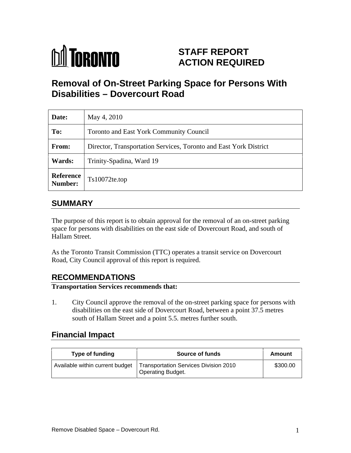

# **STAFF REPORT ACTION REQUIRED**

# **Removal of On-Street Parking Space for Persons With Disabilities – Dovercourt Road**

| Date:                | May 4, 2010                                                       |
|----------------------|-------------------------------------------------------------------|
| To:                  | Toronto and East York Community Council                           |
| From:                | Director, Transportation Services, Toronto and East York District |
| <b>Wards:</b>        | Trinity-Spadina, Ward 19                                          |
| Reference<br>Number: | $Ts10072$ te.top                                                  |

#### **SUMMARY**

The purpose of this report is to obtain approval for the removal of an on-street parking space for persons with disabilities on the east side of Dovercourt Road, and south of Hallam Street.

As the Toronto Transit Commission (TTC) operates a transit service on Dovercourt Road, City Council approval of this report is required.

### **RECOMMENDATIONS**

#### **Transportation Services recommends that:**

1. City Council approve the removal of the on-street parking space for persons with disabilities on the east side of Dovercourt Road, between a point 37.5 metres south of Hallam Street and a point 5.5. metres further south.

### **Financial Impact**

| <b>Type of funding</b> | <b>Source of funds</b><br>Amount                                                                         |
|------------------------|----------------------------------------------------------------------------------------------------------|
|                        | Available within current budget   Transportation Services Division 2010<br>\$300.00<br>Operating Budget. |